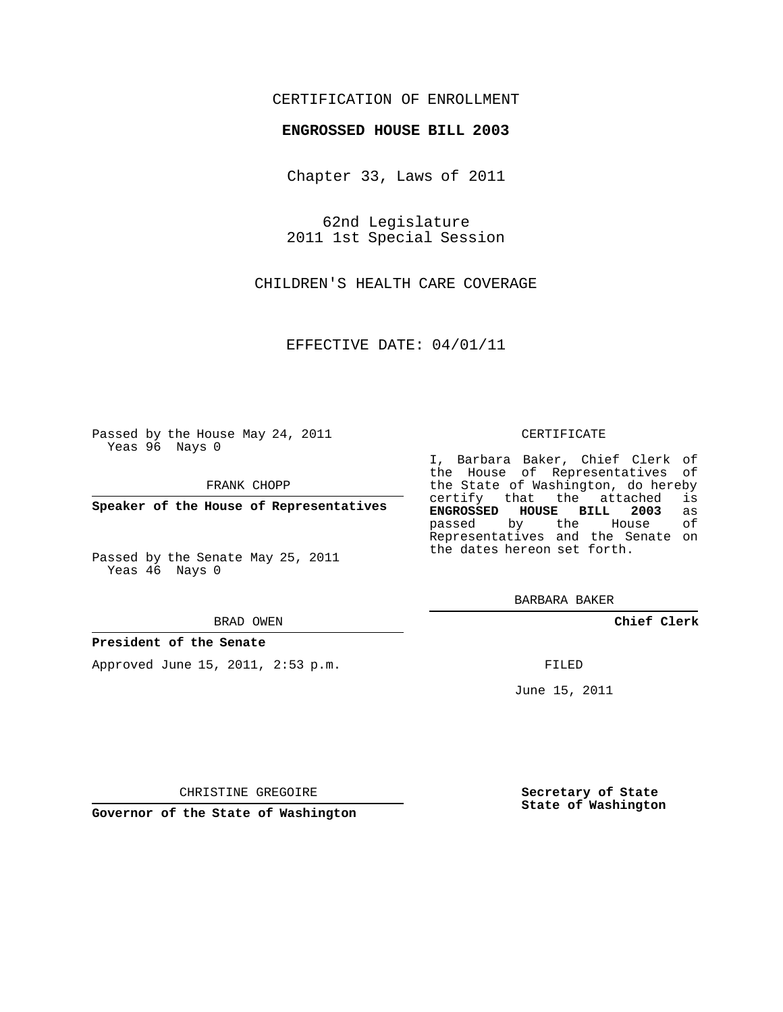## CERTIFICATION OF ENROLLMENT

### **ENGROSSED HOUSE BILL 2003**

Chapter 33, Laws of 2011

62nd Legislature 2011 1st Special Session

CHILDREN'S HEALTH CARE COVERAGE

EFFECTIVE DATE: 04/01/11

Passed by the House May 24, 2011 Yeas 96 Nays 0

FRANK CHOPP

**Speaker of the House of Representatives**

Passed by the Senate May 25, 2011 Yeas 46 Nays 0

#### BRAD OWEN

#### **President of the Senate**

Approved June 15, 2011, 2:53 p.m.

#### CERTIFICATE

I, Barbara Baker, Chief Clerk of the House of Representatives of the State of Washington, do hereby<br>certify that the attached is certify that the attached is<br>**ENGROSSED HOUSE BILL 2003** as **ENGROSSED HOUSE BILL 2003** as passed by the House Representatives and the Senate on the dates hereon set forth.

BARBARA BAKER

**Chief Clerk**

FILED

June 15, 2011

**Secretary of State State of Washington**

CHRISTINE GREGOIRE

**Governor of the State of Washington**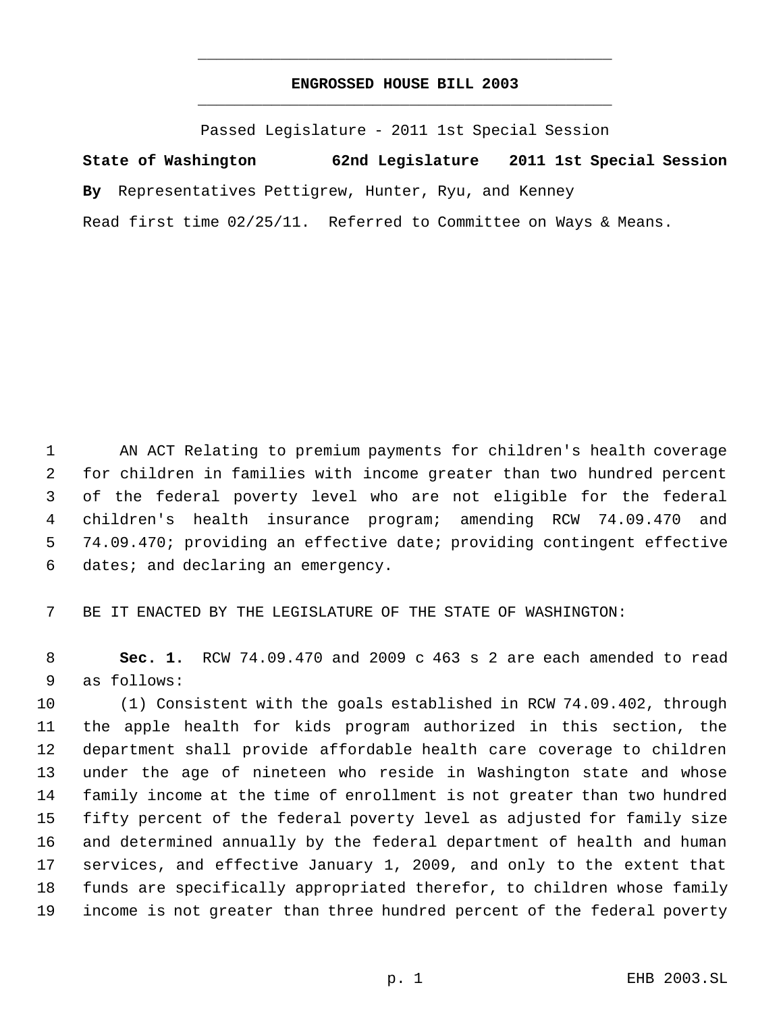# **ENGROSSED HOUSE BILL 2003** \_\_\_\_\_\_\_\_\_\_\_\_\_\_\_\_\_\_\_\_\_\_\_\_\_\_\_\_\_\_\_\_\_\_\_\_\_\_\_\_\_\_\_\_\_

\_\_\_\_\_\_\_\_\_\_\_\_\_\_\_\_\_\_\_\_\_\_\_\_\_\_\_\_\_\_\_\_\_\_\_\_\_\_\_\_\_\_\_\_\_

Passed Legislature - 2011 1st Special Session

**State of Washington 62nd Legislature 2011 1st Special Session**

**By** Representatives Pettigrew, Hunter, Ryu, and Kenney

Read first time 02/25/11. Referred to Committee on Ways & Means.

 AN ACT Relating to premium payments for children's health coverage for children in families with income greater than two hundred percent of the federal poverty level who are not eligible for the federal children's health insurance program; amending RCW 74.09.470 and 74.09.470; providing an effective date; providing contingent effective dates; and declaring an emergency.

BE IT ENACTED BY THE LEGISLATURE OF THE STATE OF WASHINGTON:

 **Sec. 1.** RCW 74.09.470 and 2009 c 463 s 2 are each amended to read as follows:

 (1) Consistent with the goals established in RCW 74.09.402, through the apple health for kids program authorized in this section, the department shall provide affordable health care coverage to children under the age of nineteen who reside in Washington state and whose family income at the time of enrollment is not greater than two hundred fifty percent of the federal poverty level as adjusted for family size and determined annually by the federal department of health and human services, and effective January 1, 2009, and only to the extent that funds are specifically appropriated therefor, to children whose family income is not greater than three hundred percent of the federal poverty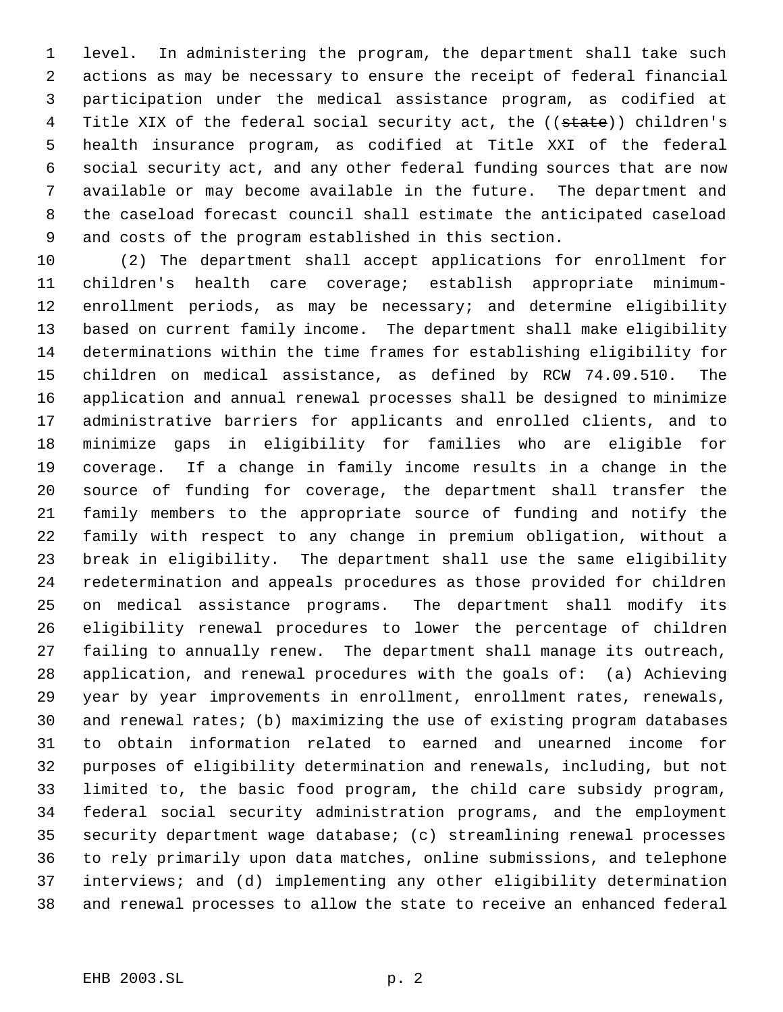level. In administering the program, the department shall take such actions as may be necessary to ensure the receipt of federal financial participation under the medical assistance program, as codified at 4 Title XIX of the federal social security act, the ((state)) children's health insurance program, as codified at Title XXI of the federal social security act, and any other federal funding sources that are now available or may become available in the future. The department and the caseload forecast council shall estimate the anticipated caseload and costs of the program established in this section.

 (2) The department shall accept applications for enrollment for children's health care coverage; establish appropriate minimum- enrollment periods, as may be necessary; and determine eligibility based on current family income. The department shall make eligibility determinations within the time frames for establishing eligibility for children on medical assistance, as defined by RCW 74.09.510. The application and annual renewal processes shall be designed to minimize administrative barriers for applicants and enrolled clients, and to minimize gaps in eligibility for families who are eligible for coverage. If a change in family income results in a change in the source of funding for coverage, the department shall transfer the family members to the appropriate source of funding and notify the family with respect to any change in premium obligation, without a break in eligibility. The department shall use the same eligibility redetermination and appeals procedures as those provided for children on medical assistance programs. The department shall modify its eligibility renewal procedures to lower the percentage of children failing to annually renew. The department shall manage its outreach, application, and renewal procedures with the goals of: (a) Achieving year by year improvements in enrollment, enrollment rates, renewals, and renewal rates; (b) maximizing the use of existing program databases to obtain information related to earned and unearned income for purposes of eligibility determination and renewals, including, but not limited to, the basic food program, the child care subsidy program, federal social security administration programs, and the employment security department wage database; (c) streamlining renewal processes to rely primarily upon data matches, online submissions, and telephone interviews; and (d) implementing any other eligibility determination and renewal processes to allow the state to receive an enhanced federal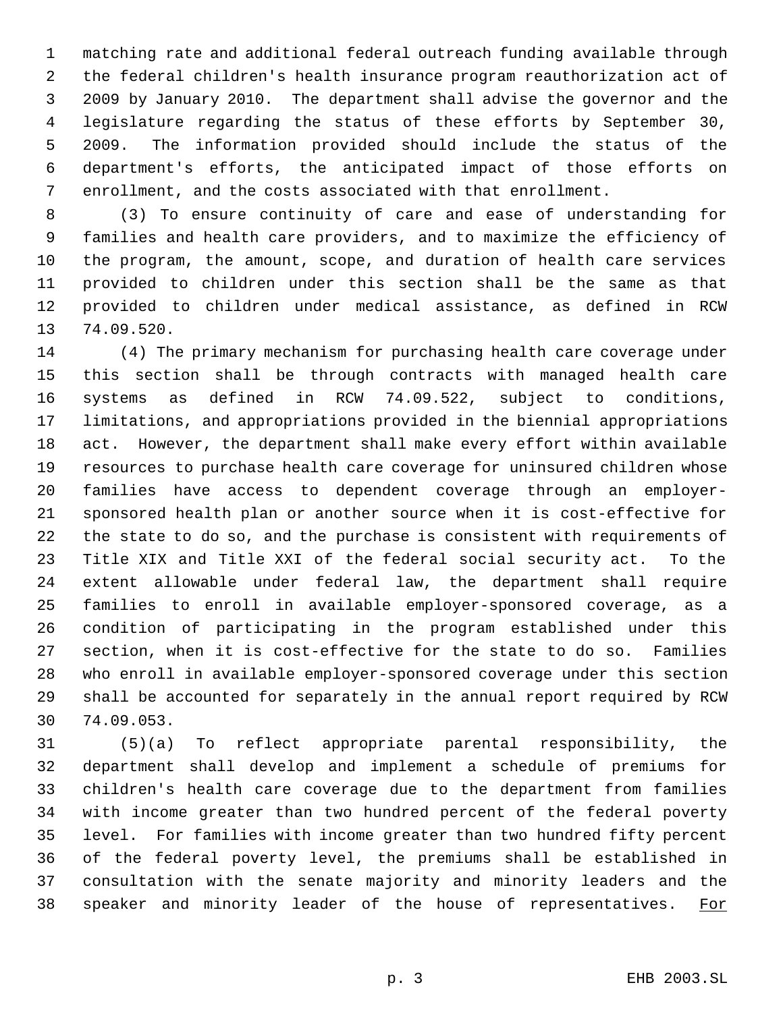matching rate and additional federal outreach funding available through the federal children's health insurance program reauthorization act of 2009 by January 2010. The department shall advise the governor and the legislature regarding the status of these efforts by September 30, 2009. The information provided should include the status of the department's efforts, the anticipated impact of those efforts on enrollment, and the costs associated with that enrollment.

 (3) To ensure continuity of care and ease of understanding for families and health care providers, and to maximize the efficiency of the program, the amount, scope, and duration of health care services provided to children under this section shall be the same as that provided to children under medical assistance, as defined in RCW 74.09.520.

 (4) The primary mechanism for purchasing health care coverage under this section shall be through contracts with managed health care systems as defined in RCW 74.09.522, subject to conditions, limitations, and appropriations provided in the biennial appropriations act. However, the department shall make every effort within available resources to purchase health care coverage for uninsured children whose families have access to dependent coverage through an employer- sponsored health plan or another source when it is cost-effective for the state to do so, and the purchase is consistent with requirements of Title XIX and Title XXI of the federal social security act. To the extent allowable under federal law, the department shall require families to enroll in available employer-sponsored coverage, as a condition of participating in the program established under this section, when it is cost-effective for the state to do so. Families who enroll in available employer-sponsored coverage under this section shall be accounted for separately in the annual report required by RCW 74.09.053.

 (5)(a) To reflect appropriate parental responsibility, the department shall develop and implement a schedule of premiums for children's health care coverage due to the department from families with income greater than two hundred percent of the federal poverty level. For families with income greater than two hundred fifty percent of the federal poverty level, the premiums shall be established in consultation with the senate majority and minority leaders and the 38 speaker and minority leader of the house of representatives. For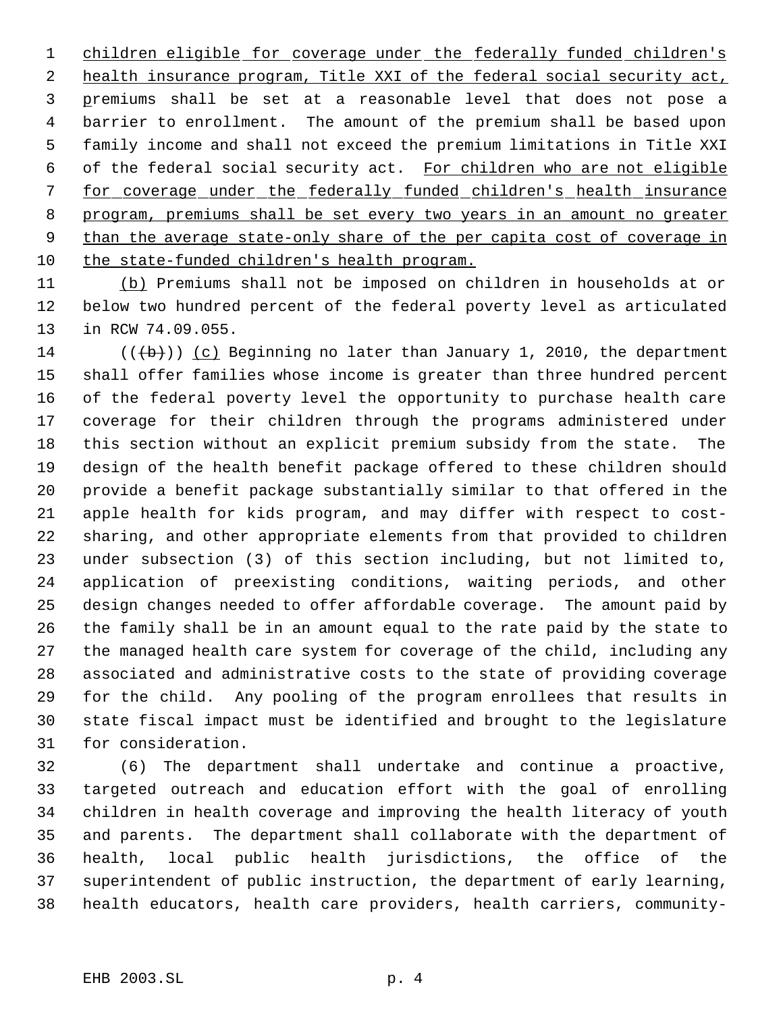1 children eligible for coverage under the federally funded children's health insurance program, Title XXI of the federal social security act, premiums shall be set at a reasonable level that does not pose a barrier to enrollment. The amount of the premium shall be based upon family income and shall not exceed the premium limitations in Title XXI of the federal social security act. For children who are not eligible for coverage under the federally funded children's health insurance program, premiums shall be set every two years in an amount no greater 9 than the average state-only share of the per capita cost of coverage in the state-funded children's health program.

 (b) Premiums shall not be imposed on children in households at or below two hundred percent of the federal poverty level as articulated in RCW 74.09.055.

14 ( $(\{+\})$ ) (c) Beginning no later than January 1, 2010, the department shall offer families whose income is greater than three hundred percent of the federal poverty level the opportunity to purchase health care coverage for their children through the programs administered under this section without an explicit premium subsidy from the state. The design of the health benefit package offered to these children should provide a benefit package substantially similar to that offered in the apple health for kids program, and may differ with respect to cost- sharing, and other appropriate elements from that provided to children under subsection (3) of this section including, but not limited to, application of preexisting conditions, waiting periods, and other design changes needed to offer affordable coverage. The amount paid by the family shall be in an amount equal to the rate paid by the state to the managed health care system for coverage of the child, including any associated and administrative costs to the state of providing coverage for the child. Any pooling of the program enrollees that results in state fiscal impact must be identified and brought to the legislature for consideration.

 (6) The department shall undertake and continue a proactive, targeted outreach and education effort with the goal of enrolling children in health coverage and improving the health literacy of youth and parents. The department shall collaborate with the department of health, local public health jurisdictions, the office of the superintendent of public instruction, the department of early learning, health educators, health care providers, health carriers, community-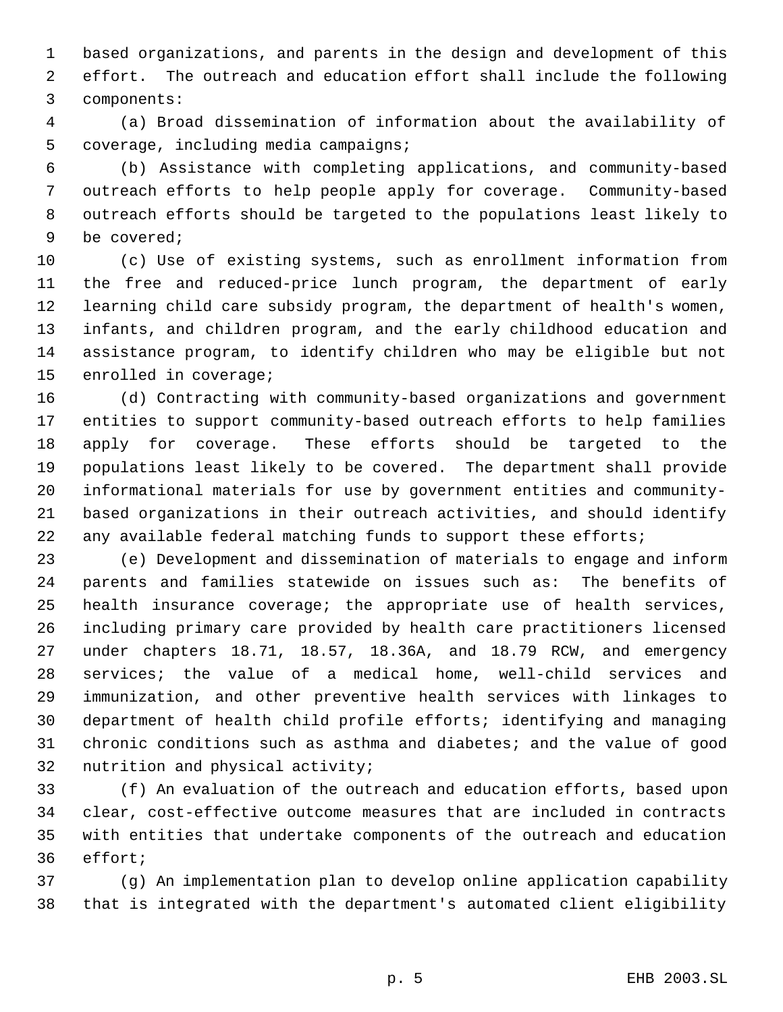based organizations, and parents in the design and development of this effort. The outreach and education effort shall include the following components:

 (a) Broad dissemination of information about the availability of coverage, including media campaigns;

 (b) Assistance with completing applications, and community-based outreach efforts to help people apply for coverage. Community-based outreach efforts should be targeted to the populations least likely to be covered;

 (c) Use of existing systems, such as enrollment information from the free and reduced-price lunch program, the department of early learning child care subsidy program, the department of health's women, infants, and children program, and the early childhood education and assistance program, to identify children who may be eligible but not enrolled in coverage;

 (d) Contracting with community-based organizations and government entities to support community-based outreach efforts to help families apply for coverage. These efforts should be targeted to the populations least likely to be covered. The department shall provide informational materials for use by government entities and community- based organizations in their outreach activities, and should identify 22 any available federal matching funds to support these efforts;

 (e) Development and dissemination of materials to engage and inform parents and families statewide on issues such as: The benefits of health insurance coverage; the appropriate use of health services, including primary care provided by health care practitioners licensed under chapters 18.71, 18.57, 18.36A, and 18.79 RCW, and emergency services; the value of a medical home, well-child services and immunization, and other preventive health services with linkages to department of health child profile efforts; identifying and managing chronic conditions such as asthma and diabetes; and the value of good nutrition and physical activity;

 (f) An evaluation of the outreach and education efforts, based upon clear, cost-effective outcome measures that are included in contracts with entities that undertake components of the outreach and education effort;

 (g) An implementation plan to develop online application capability that is integrated with the department's automated client eligibility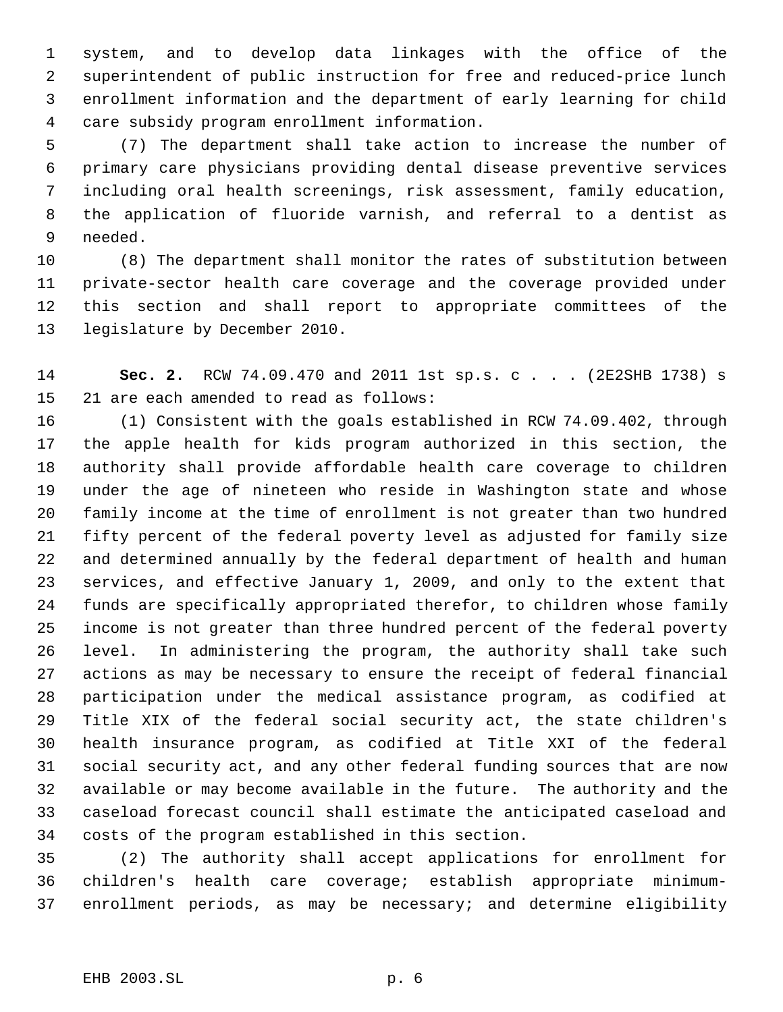system, and to develop data linkages with the office of the superintendent of public instruction for free and reduced-price lunch enrollment information and the department of early learning for child care subsidy program enrollment information.

 (7) The department shall take action to increase the number of primary care physicians providing dental disease preventive services including oral health screenings, risk assessment, family education, the application of fluoride varnish, and referral to a dentist as needed.

 (8) The department shall monitor the rates of substitution between private-sector health care coverage and the coverage provided under this section and shall report to appropriate committees of the legislature by December 2010.

 **Sec. 2.** RCW 74.09.470 and 2011 1st sp.s. c . . . (2E2SHB 1738) s 21 are each amended to read as follows:

 (1) Consistent with the goals established in RCW 74.09.402, through the apple health for kids program authorized in this section, the authority shall provide affordable health care coverage to children under the age of nineteen who reside in Washington state and whose family income at the time of enrollment is not greater than two hundred fifty percent of the federal poverty level as adjusted for family size and determined annually by the federal department of health and human services, and effective January 1, 2009, and only to the extent that funds are specifically appropriated therefor, to children whose family income is not greater than three hundred percent of the federal poverty level. In administering the program, the authority shall take such actions as may be necessary to ensure the receipt of federal financial participation under the medical assistance program, as codified at Title XIX of the federal social security act, the state children's health insurance program, as codified at Title XXI of the federal social security act, and any other federal funding sources that are now available or may become available in the future. The authority and the caseload forecast council shall estimate the anticipated caseload and costs of the program established in this section.

 (2) The authority shall accept applications for enrollment for children's health care coverage; establish appropriate minimum-enrollment periods, as may be necessary; and determine eligibility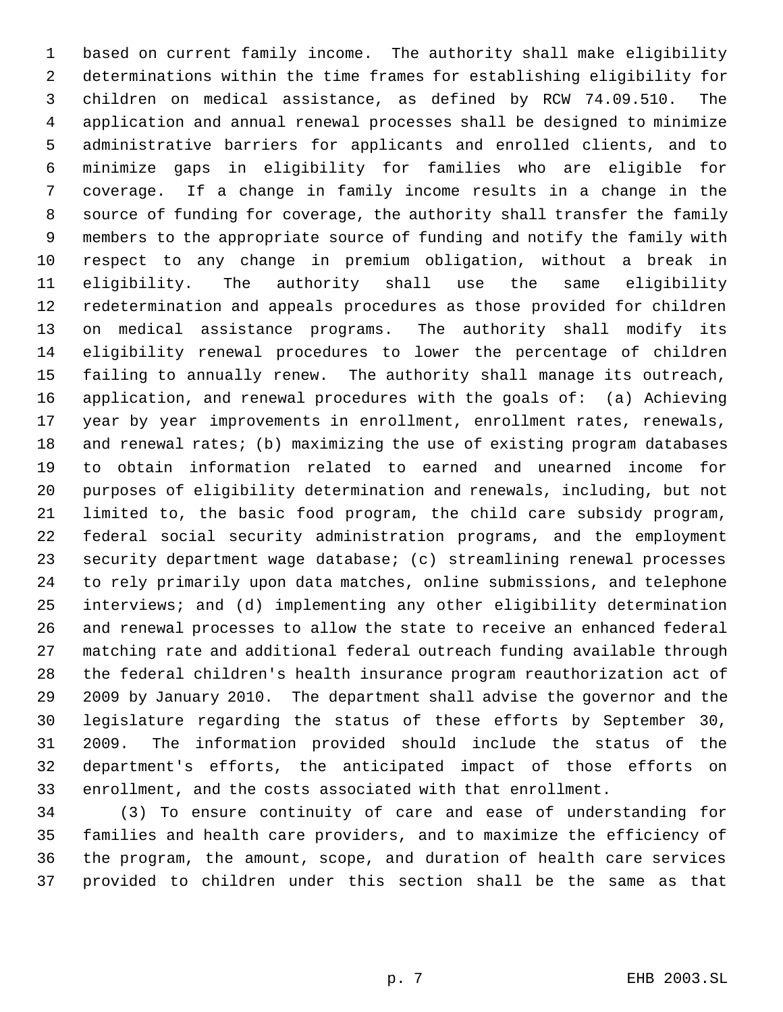based on current family income. The authority shall make eligibility determinations within the time frames for establishing eligibility for children on medical assistance, as defined by RCW 74.09.510. The application and annual renewal processes shall be designed to minimize administrative barriers for applicants and enrolled clients, and to minimize gaps in eligibility for families who are eligible for coverage. If a change in family income results in a change in the source of funding for coverage, the authority shall transfer the family members to the appropriate source of funding and notify the family with respect to any change in premium obligation, without a break in eligibility. The authority shall use the same eligibility redetermination and appeals procedures as those provided for children on medical assistance programs. The authority shall modify its eligibility renewal procedures to lower the percentage of children failing to annually renew. The authority shall manage its outreach, application, and renewal procedures with the goals of: (a) Achieving year by year improvements in enrollment, enrollment rates, renewals, and renewal rates; (b) maximizing the use of existing program databases to obtain information related to earned and unearned income for purposes of eligibility determination and renewals, including, but not limited to, the basic food program, the child care subsidy program, federal social security administration programs, and the employment security department wage database; (c) streamlining renewal processes to rely primarily upon data matches, online submissions, and telephone interviews; and (d) implementing any other eligibility determination and renewal processes to allow the state to receive an enhanced federal matching rate and additional federal outreach funding available through the federal children's health insurance program reauthorization act of 2009 by January 2010. The department shall advise the governor and the legislature regarding the status of these efforts by September 30, 2009. The information provided should include the status of the department's efforts, the anticipated impact of those efforts on enrollment, and the costs associated with that enrollment.

 (3) To ensure continuity of care and ease of understanding for families and health care providers, and to maximize the efficiency of the program, the amount, scope, and duration of health care services provided to children under this section shall be the same as that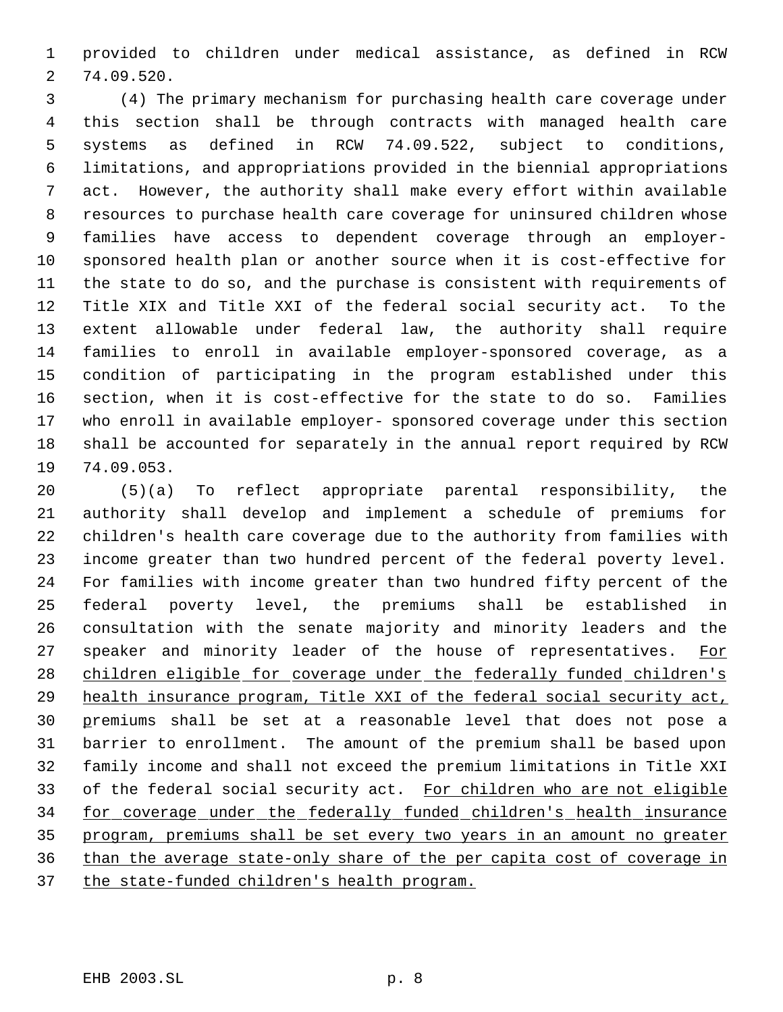provided to children under medical assistance, as defined in RCW 74.09.520.

 (4) The primary mechanism for purchasing health care coverage under this section shall be through contracts with managed health care systems as defined in RCW 74.09.522, subject to conditions, limitations, and appropriations provided in the biennial appropriations act. However, the authority shall make every effort within available resources to purchase health care coverage for uninsured children whose families have access to dependent coverage through an employer- sponsored health plan or another source when it is cost-effective for the state to do so, and the purchase is consistent with requirements of Title XIX and Title XXI of the federal social security act. To the extent allowable under federal law, the authority shall require families to enroll in available employer-sponsored coverage, as a condition of participating in the program established under this section, when it is cost-effective for the state to do so. Families who enroll in available employer- sponsored coverage under this section shall be accounted for separately in the annual report required by RCW 74.09.053.

 (5)(a) To reflect appropriate parental responsibility, the authority shall develop and implement a schedule of premiums for children's health care coverage due to the authority from families with income greater than two hundred percent of the federal poverty level. For families with income greater than two hundred fifty percent of the federal poverty level, the premiums shall be established in consultation with the senate majority and minority leaders and the 27 speaker and minority leader of the house of representatives. For 28 children eligible for coverage under the federally funded children's 29 health insurance program, Title XXI of the federal social security act, premiums shall be set at a reasonable level that does not pose a barrier to enrollment. The amount of the premium shall be based upon family income and shall not exceed the premium limitations in Title XXI 33 of the federal social security act. For children who are not eligible for coverage under the federally funded children's health insurance program, premiums shall be set every two years in an amount no greater than the average state-only share of the per capita cost of coverage in 37 the state-funded children's health program.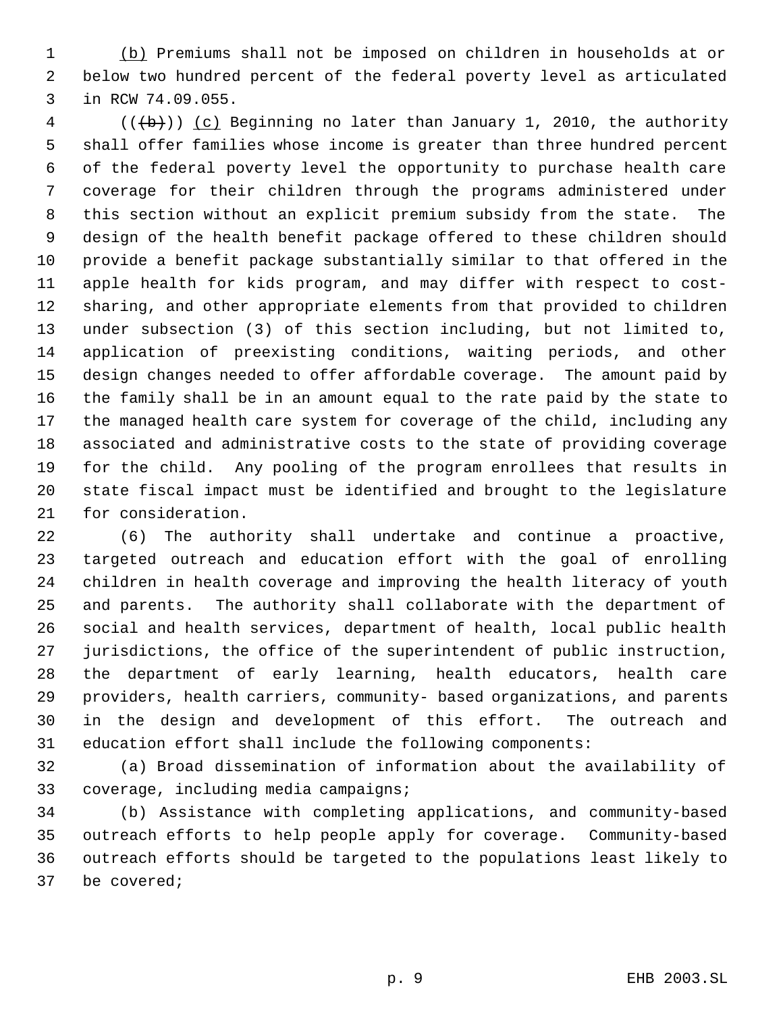(b) Premiums shall not be imposed on children in households at or below two hundred percent of the federal poverty level as articulated in RCW 74.09.055.

 (( $\left(\frac{1}{b}\right)$ ) (c) Beginning no later than January 1, 2010, the authority shall offer families whose income is greater than three hundred percent of the federal poverty level the opportunity to purchase health care coverage for their children through the programs administered under this section without an explicit premium subsidy from the state. The design of the health benefit package offered to these children should provide a benefit package substantially similar to that offered in the apple health for kids program, and may differ with respect to cost- sharing, and other appropriate elements from that provided to children under subsection (3) of this section including, but not limited to, application of preexisting conditions, waiting periods, and other design changes needed to offer affordable coverage. The amount paid by the family shall be in an amount equal to the rate paid by the state to the managed health care system for coverage of the child, including any associated and administrative costs to the state of providing coverage for the child. Any pooling of the program enrollees that results in state fiscal impact must be identified and brought to the legislature for consideration.

 (6) The authority shall undertake and continue a proactive, targeted outreach and education effort with the goal of enrolling children in health coverage and improving the health literacy of youth and parents. The authority shall collaborate with the department of social and health services, department of health, local public health jurisdictions, the office of the superintendent of public instruction, the department of early learning, health educators, health care providers, health carriers, community- based organizations, and parents in the design and development of this effort. The outreach and education effort shall include the following components:

 (a) Broad dissemination of information about the availability of coverage, including media campaigns;

 (b) Assistance with completing applications, and community-based outreach efforts to help people apply for coverage. Community-based outreach efforts should be targeted to the populations least likely to be covered;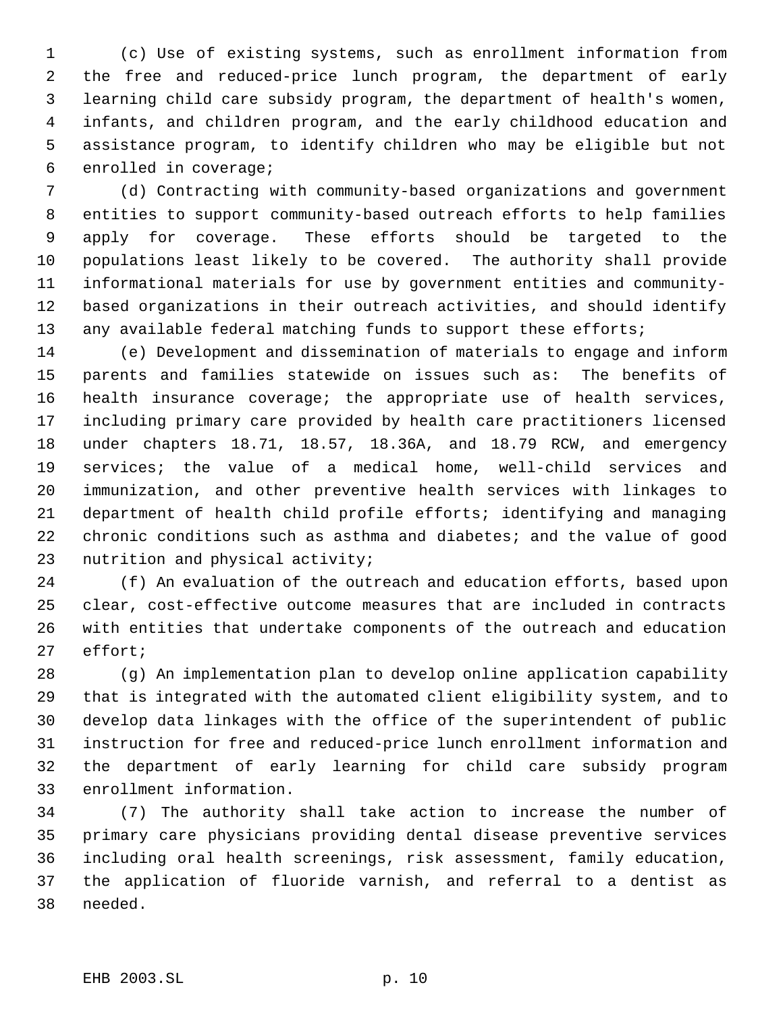(c) Use of existing systems, such as enrollment information from the free and reduced-price lunch program, the department of early learning child care subsidy program, the department of health's women, infants, and children program, and the early childhood education and assistance program, to identify children who may be eligible but not enrolled in coverage;

 (d) Contracting with community-based organizations and government entities to support community-based outreach efforts to help families apply for coverage. These efforts should be targeted to the populations least likely to be covered. The authority shall provide informational materials for use by government entities and community- based organizations in their outreach activities, and should identify 13 any available federal matching funds to support these efforts;

 (e) Development and dissemination of materials to engage and inform parents and families statewide on issues such as: The benefits of health insurance coverage; the appropriate use of health services, including primary care provided by health care practitioners licensed under chapters 18.71, 18.57, 18.36A, and 18.79 RCW, and emergency services; the value of a medical home, well-child services and immunization, and other preventive health services with linkages to department of health child profile efforts; identifying and managing chronic conditions such as asthma and diabetes; and the value of good nutrition and physical activity;

 (f) An evaluation of the outreach and education efforts, based upon clear, cost-effective outcome measures that are included in contracts with entities that undertake components of the outreach and education effort;

 (g) An implementation plan to develop online application capability that is integrated with the automated client eligibility system, and to develop data linkages with the office of the superintendent of public instruction for free and reduced-price lunch enrollment information and the department of early learning for child care subsidy program enrollment information.

 (7) The authority shall take action to increase the number of primary care physicians providing dental disease preventive services including oral health screenings, risk assessment, family education, the application of fluoride varnish, and referral to a dentist as needed.